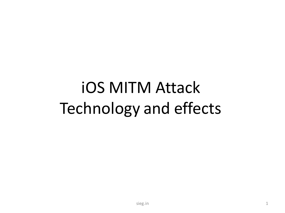# iOS MITM Attack Technology and effects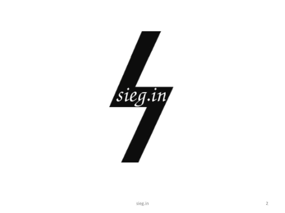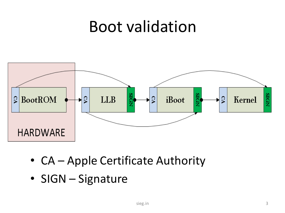#### Boot validation



- CA Apple Certificate Authority
- SIGN Signature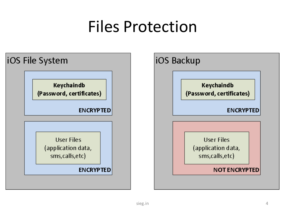## Files Protection

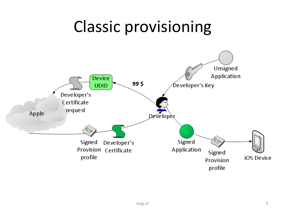#### Classic provisioning

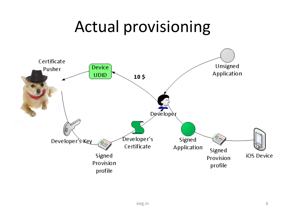#### Actual provisioning

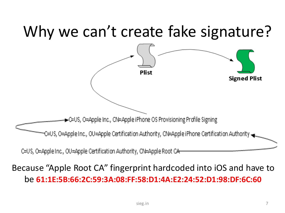#### Why we can't create fake signature?



#### Because "Apple Root CA" fingerprint hardcoded into iOS and have to be **61:1E:5B:66:2C:59:3A:08:FF:58:D1:4A:E2:24:52:D1:98:DF:6C:60**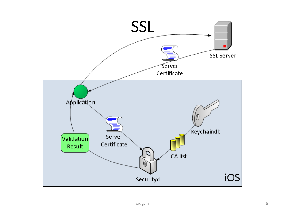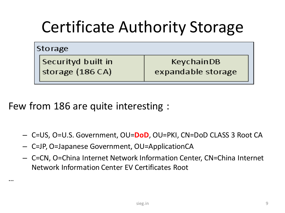## Certificate Authority Storage

|  | Storage |
|--|---------|
|--|---------|

…

Securityd built in storage (186 CA)

KeychainDB expandable storage

Few from 186 are quite interesting :

- C=US, O=U.S. Government, OU=**DoD**, OU=PKI, CN=DoD CLASS 3 Root CA
- C=JP, O=Japanese Government, OU=ApplicationCA
- C=CN, O=China Internet Network Information Center, CN=China Internet Network Information Center EV Certificates Root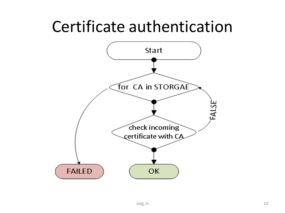#### Certificate authentication

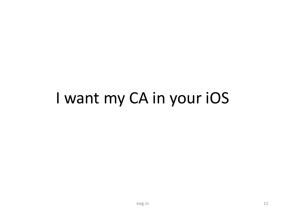#### I want my CA in your iOS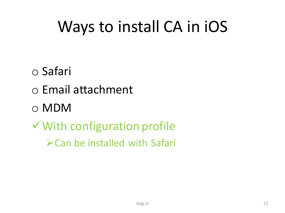# Ways to install CA in iOS

- o Safari
- o Email attachment
- o MDM
- With configuration profile
	- Can be installed with Safari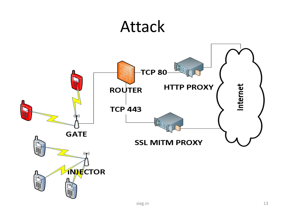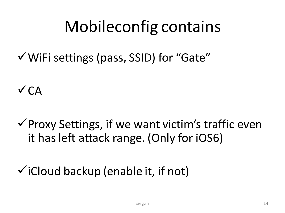## Mobileconfig contains

WiFi settings (pass, SSID) for "Gate"

 $\sqrt{CA}$ 

 $\checkmark$  Proxy Settings, if we want victim's traffic even it has left attack range. (Only for iOS6)

 $\checkmark$  iCloud backup (enable it, if not)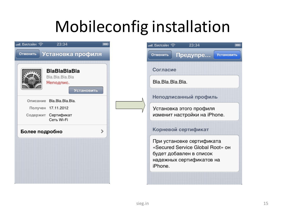## Mobileconfig installation

| BlaBlaBlaBla<br>Bla.Bla.Bla.Bla<br>Неподпис.<br>Установить |  |
|------------------------------------------------------------|--|
| Bla.Bla.Bla.Bla.<br>Описание                               |  |
| Получен 17.11.2012                                         |  |
| Сертификат<br>Содержит<br>Сеть Wi-Fi                       |  |
| Более подробно                                             |  |
|                                                            |  |
|                                                            |  |

| 23:34<br>Предупре<br>Отменить<br><b>Установить</b>                                                                   |  |  |  |  |  |
|----------------------------------------------------------------------------------------------------------------------|--|--|--|--|--|
| Согласие                                                                                                             |  |  |  |  |  |
| Bla.Bla.Bla.Bla.                                                                                                     |  |  |  |  |  |
| Неподписанный профиль                                                                                                |  |  |  |  |  |
| Установка этого профиля<br>изменит настройки на iPhone.                                                              |  |  |  |  |  |
| Корневой сертификат                                                                                                  |  |  |  |  |  |
| При установке сертификата<br>«Secured Service Global Root» он<br>будет добавлен в список<br>надежных сертификатов на |  |  |  |  |  |
| iPhone.                                                                                                              |  |  |  |  |  |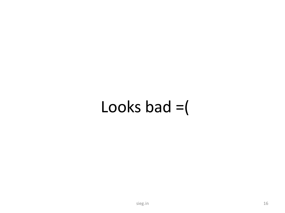## Looks bad  $=$   $($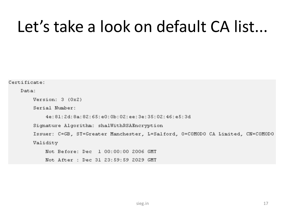#### Let's take a look on default CA list...

Certificate: Data: Version: 3 (0x2) Serial Number: 4e:81:2d:8a:82:65:e0:0b:02:ee:3e:35:02:46:e5:3d Signature Algorithm: shalWithRSAEncryption Issuer: C=GB, ST=Greater Manchester, L=Salford, O=COMODO CA Limited, CN=COMODO Validity Not Before: Dec 1 00:00:00 2006 GMT Not After : Dec 31 23:59:59 2029 GMT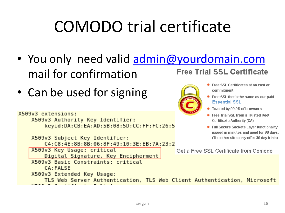# COMODO trial certificate

- You only need valid [admin@yourdomain.com](mailto:admin@yourdomain.com) **Free Trial SSL Certificate** mail for confirmation
- Can be used for signing

```
Trusted by 99.9% of browsers
X509v3 extensions:
                                                                        ● Free Trial SSL from a Trusted Root
     X509v3 Authority Key Identifier:
                                                                          Certificate Authority (CA)
          keyid:DA:CB:EA:AD:5B:08:5D:CC:FF:FC:26:5
                                                                        • Full Secure Sockets Layer functionality
                                                                          issued in minutes and good for 90 days.
     X509v3 Subject Key Identifier:
                                                                          (The other sites only offer 30 day trials)
          C4:C8:4E:8B:8B:06:8F:49:10:3E:EB:7A:23:2
     X509v3 Key Usage: critical
                                                            Get a Free SSL Certificate from Comodo
          Digital Signature, Key Encipherment
     X509v3 Basic Constraints: critical
          CA: FAI SE
     X509v3 Extended Key Usage:
          TLS Web Server Authentication, TLS Web Client Authentication, Microsoft
```
Free SSL Certificates at no cost or

• Free SSL that's the same as our paid

commitment

**Essential SSL**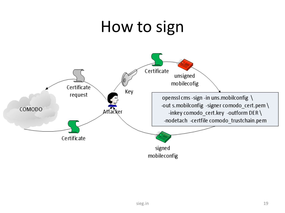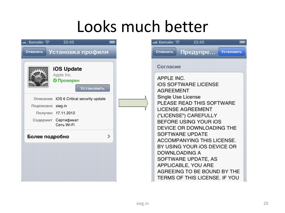## Looks much better

| பட Билайн $\widehat{\mathbb{S}}$<br>23:45                                                                                                                                                                   | ли. Билайн २                                                                                                                                                                                                                                                                                                                      | 23:45                                                                                                      |                   |
|-------------------------------------------------------------------------------------------------------------------------------------------------------------------------------------------------------------|-----------------------------------------------------------------------------------------------------------------------------------------------------------------------------------------------------------------------------------------------------------------------------------------------------------------------------------|------------------------------------------------------------------------------------------------------------|-------------------|
| Установка профиля<br>Отменить                                                                                                                                                                               | Отменить                                                                                                                                                                                                                                                                                                                          | Предупре                                                                                                   | <b>Установить</b> |
| iOS Update<br>Apple Inc.<br><b>• Проверен</b><br>Установить<br>Описание iOS 6 Critical security update<br>Подписано sieg.in<br>Получен 17.11.2012<br>Сертификат<br>Содержит<br>Сеть Wi-Fi<br>Более подробно | Согласие<br>APPLE INC.<br><b>IOS SOFTWARE LICENSE</b><br><b>AGREEMENT</b><br>Single Use License<br>PLEASE READ THIS SOFTWARE<br>LICENSE AGREEMENT<br>("LICENSE") CAREFULLY<br>BEFORE USING YOUR IOS<br>DEVICE OR DOWNLOADING THE<br>SOFTWARE UPDATE<br>ACCOMPANYING THIS LICENSE.<br>BY USING YOUR IOS DEVICE OR<br>DOWNLOADING A |                                                                                                            |                   |
|                                                                                                                                                                                                             |                                                                                                                                                                                                                                                                                                                                   | SOFTWARE UPDATE, AS<br>APPLICABLE, YOU ARE<br>AGREEING TO BE BOUND BY THE<br>TERMS OF THIS LICENSE. IF YOU |                   |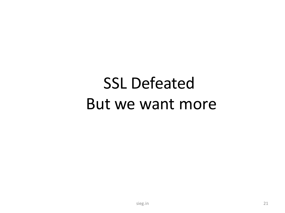# **SSL Defeated** But we want more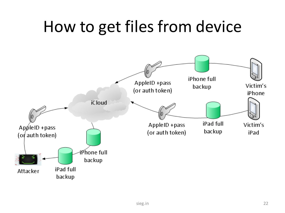## How to get files from device

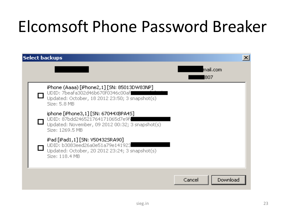## Elcomsoft Phone Password Breaker

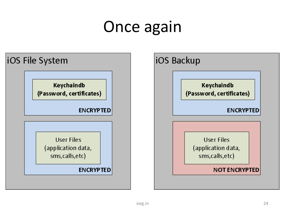## Once again

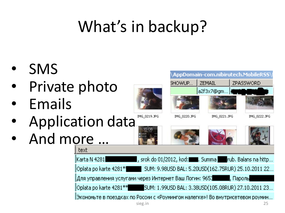# What's in backup?

- SMS
- Private photo
- **Emails**
- Application data
- And more ...





**SHOWUP...** 





ZEMAIL



AppDomain-com.nibirutech.MobileRSS\



ZPASSWORD

IMG\_0219.JPG

IMG\_0220.JPG

IMG\_0221.JPG

IMG 0222.JPG









|Karta N 4281**|** , srok do 01/2012, kod: www. Summa www.brub. Balans na http... Oplata po karte 4281\*\* SUM: 9.98USD BAL: 5.20USD(162.75RUR) 25.10.2011 22... І. Парольі Oplata po karte 4281\*\* SUM: 1,99USD BAL: 3,38USD(105,08RUR) 27,10,2011 23... Экономьте в поездках по России с «Роумингом налегке»! Во внутрисетевом роумин...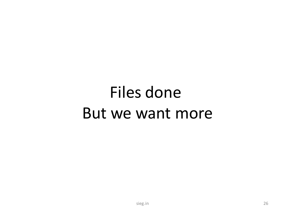# Files done But we want more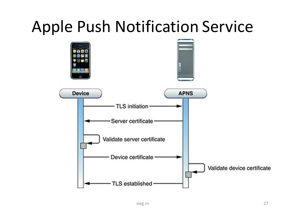#### Apple Push Notification Service

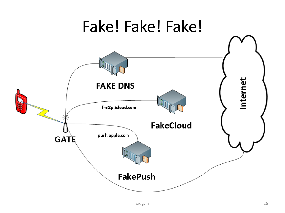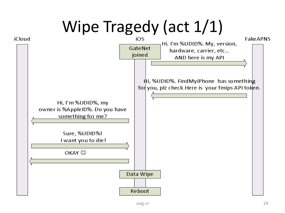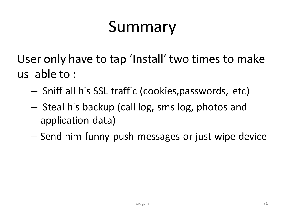## Summary

User only have to tap 'Install' two times to make us able to :

- Sniff all his SSL traffic (cookies,passwords, etc)
- Steal his backup (call log, sms log, photos and application data)
- Send him funny push messages or just wipe device